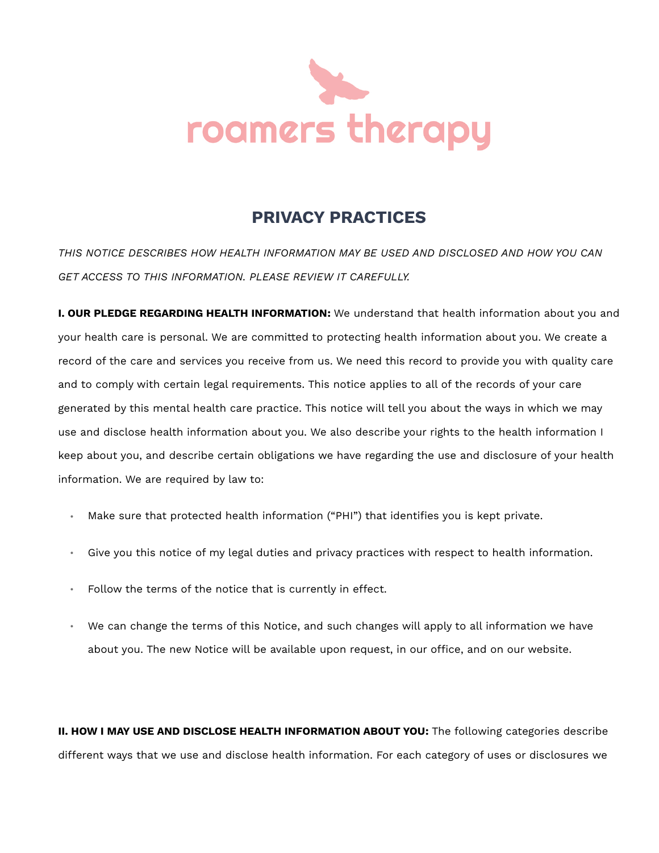

## **PRIVACY PRACTICES**

*THIS NOTICE DESCRIBES HOW HEALTH INFORMATION MAY BE USED AND DISCLOSED AND HOW YOU CAN GET ACCESS TO THIS INFORMATION. PLEASE REVIEW IT CAREFULLY.*

**I. OUR PLEDGE REGARDING HEALTH INFORMATION:** We understand that health information about you and your health care is personal. We are committed to protecting health information about you. We create a record of the care and services you receive from us. We need this record to provide you with quality care and to comply with certain legal requirements. This notice applies to all of the records of your care generated by this mental health care practice. This notice will tell you about the ways in which we may use and disclose health information about you. We also describe your rights to the health information I keep about you, and describe certain obligations we have regarding the use and disclosure of your health information. We are required by law to:

- Make sure that protected health information ("PHI") that identifies you is kept private.
- Give you this notice of my legal duties and privacy practices with respect to health information.
- Follow the terms of the notice that is currently in effect.
- We can change the terms of this Notice, and such changes will apply to all information we have about you. The new Notice will be available upon request, in our office, and on our website.

**II. HOW I MAY USE AND DISCLOSE HEALTH INFORMATION ABOUT YOU:** The following categories describe different ways that we use and disclose health information. For each category of uses or disclosures we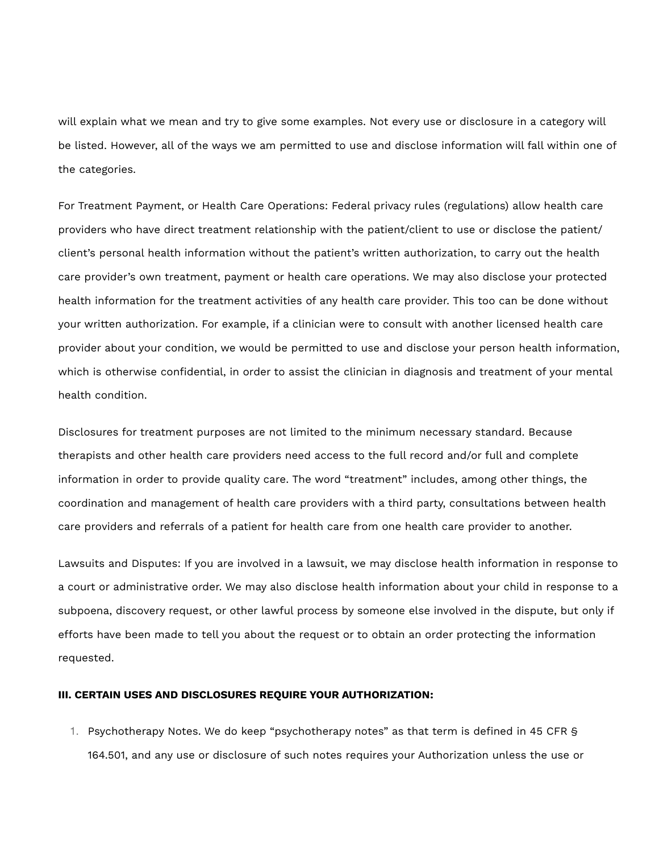will explain what we mean and try to give some examples. Not every use or disclosure in a category will be listed. However, all of the ways we am permitted to use and disclose information will fall within one of the categories.

For Treatment Payment, or Health Care Operations: Federal privacy rules (regulations) allow health care providers who have direct treatment relationship with the patient/client to use or disclose the patient/ client's personal health information without the patient's written authorization, to carry out the health care provider's own treatment, payment or health care operations. We may also disclose your protected health information for the treatment activities of any health care provider. This too can be done without your written authorization. For example, if a clinician were to consult with another licensed health care provider about your condition, we would be permitted to use and disclose your person health information, which is otherwise confidential, in order to assist the clinician in diagnosis and treatment of your mental health condition.

Disclosures for treatment purposes are not limited to the minimum necessary standard. Because therapists and other health care providers need access to the full record and/or full and complete information in order to provide quality care. The word "treatment" includes, among other things, the coordination and management of health care providers with a third party, consultations between health care providers and referrals of a patient for health care from one health care provider to another.

Lawsuits and Disputes: If you are involved in a lawsuit, we may disclose health information in response to a court or administrative order. We may also disclose health information about your child in response to a subpoena, discovery request, or other lawful process by someone else involved in the dispute, but only if efforts have been made to tell you about the request or to obtain an order protecting the information requested.

## **III. CERTAIN USES AND DISCLOSURES REQUIRE YOUR AUTHORIZATION:**

1. Psychotherapy Notes. We do keep "psychotherapy notes" as that term is defined in 45 CFR § 164.501, and any use or disclosure of such notes requires your Authorization unless the use or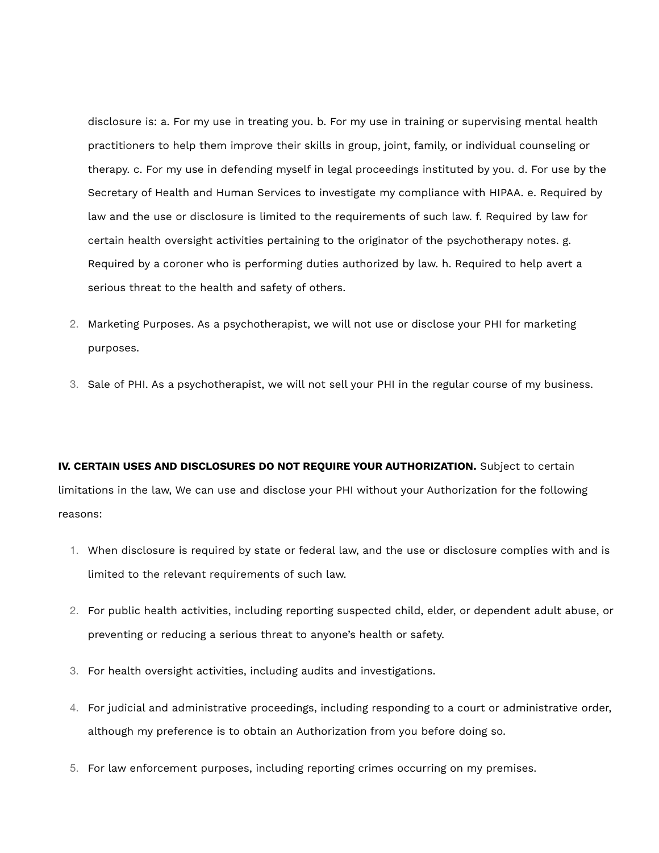disclosure is: a. For my use in treating you. b. For my use in training or supervising mental health practitioners to help them improve their skills in group, joint, family, or individual counseling or therapy. c. For my use in defending myself in legal proceedings instituted by you. d. For use by the Secretary of Health and Human Services to investigate my compliance with HIPAA. e. Required by law and the use or disclosure is limited to the requirements of such law. f. Required by law for certain health oversight activities pertaining to the originator of the psychotherapy notes. g. Required by a coroner who is performing duties authorized by law. h. Required to help avert a serious threat to the health and safety of others.

- 2. Marketing Purposes. As a psychotherapist, we will not use or disclose your PHI for marketing purposes.
- 3. Sale of PHI. As a psychotherapist, we will not sell your PHI in the regular course of my business.

**IV. CERTAIN USES AND DISCLOSURES DO NOT REQUIRE YOUR AUTHORIZATION.** Subject to certain limitations in the law, We can use and disclose your PHI without your Authorization for the following reasons:

- 1. When disclosure is required by state or federal law, and the use or disclosure complies with and is limited to the relevant requirements of such law.
- 2. For public health activities, including reporting suspected child, elder, or dependent adult abuse, or preventing or reducing a serious threat to anyone's health or safety.
- 3. For health oversight activities, including audits and investigations.
- 4. For judicial and administrative proceedings, including responding to a court or administrative order, although my preference is to obtain an Authorization from you before doing so.
- 5. For law enforcement purposes, including reporting crimes occurring on my premises.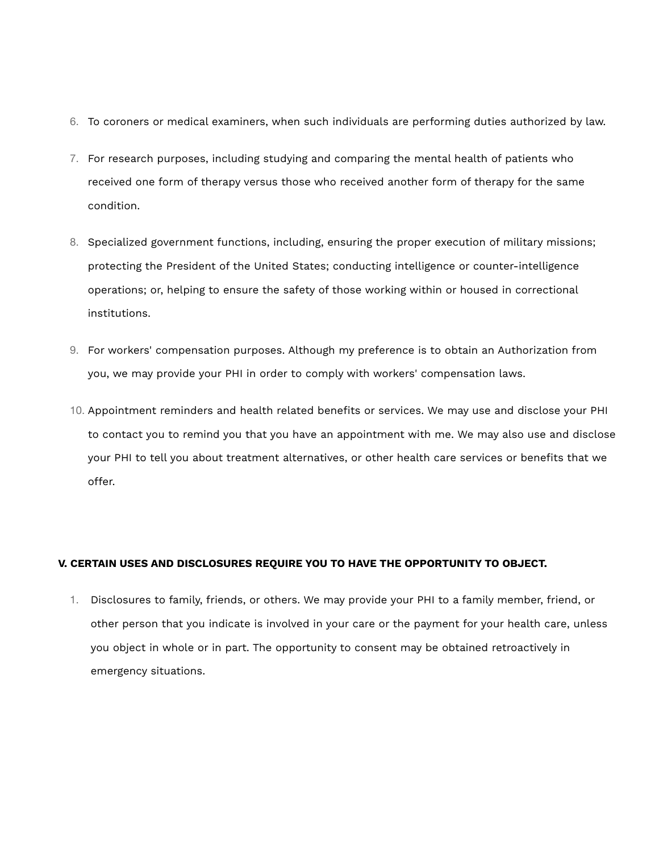- 6. To coroners or medical examiners, when such individuals are performing duties authorized by law.
- 7. For research purposes, including studying and comparing the mental health of patients who received one form of therapy versus those who received another form of therapy for the same condition.
- 8. Specialized government functions, including, ensuring the proper execution of military missions; protecting the President of the United States; conducting intelligence or counter-intelligence operations; or, helping to ensure the safety of those working within or housed in correctional institutions.
- 9. For workers' compensation purposes. Although my preference is to obtain an Authorization from you, we may provide your PHI in order to comply with workers' compensation laws.
- 10. Appointment reminders and health related benefits or services. We may use and disclose your PHI to contact you to remind you that you have an appointment with me. We may also use and disclose your PHI to tell you about treatment alternatives, or other health care services or benefits that we offer.

## **V. CERTAIN USES AND DISCLOSURES REQUIRE YOU TO HAVE THE OPPORTUNITY TO OBJECT.**

1. Disclosures to family, friends, or others. We may provide your PHI to a family member, friend, or other person that you indicate is involved in your care or the payment for your health care, unless you object in whole or in part. The opportunity to consent may be obtained retroactively in emergency situations.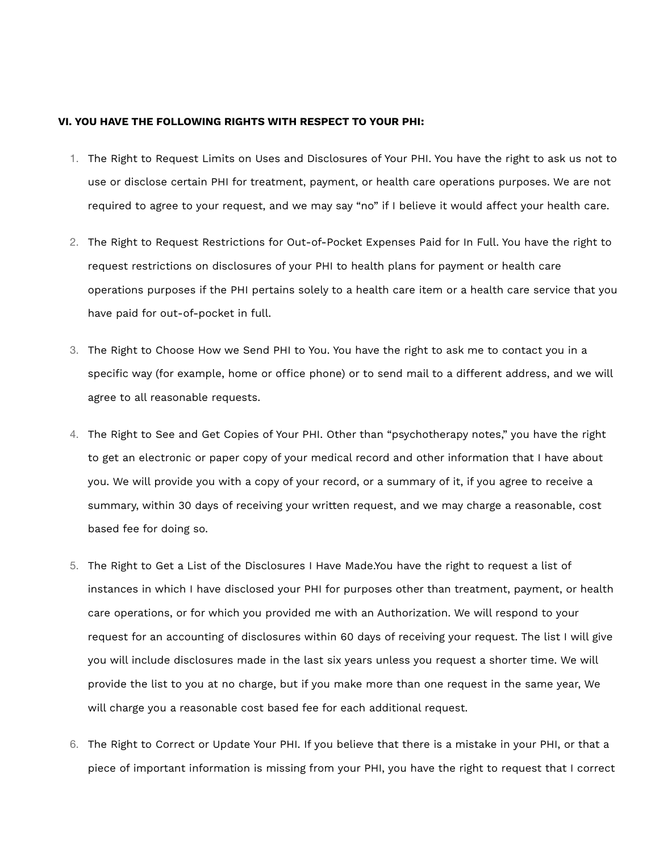## **VI. YOU HAVE THE FOLLOWING RIGHTS WITH RESPECT TO YOUR PHI:**

- 1. The Right to Request Limits on Uses and Disclosures of Your PHI. You have the right to ask us not to use or disclose certain PHI for treatment, payment, or health care operations purposes. We are not required to agree to your request, and we may say "no" if I believe it would affect your health care.
- 2. The Right to Request Restrictions for Out-of-Pocket Expenses Paid for In Full. You have the right to request restrictions on disclosures of your PHI to health plans for payment or health care operations purposes if the PHI pertains solely to a health care item or a health care service that you have paid for out-of-pocket in full.
- 3. The Right to Choose How we Send PHI to You. You have the right to ask me to contact you in a specific way (for example, home or office phone) or to send mail to a different address, and we will agree to all reasonable requests.
- 4. The Right to See and Get Copies of Your PHI. Other than "psychotherapy notes," you have the right to get an electronic or paper copy of your medical record and other information that I have about you. We will provide you with a copy of your record, or a summary of it, if you agree to receive a summary, within 30 days of receiving your written request, and we may charge a reasonable, cost based fee for doing so.
- 5. The Right to Get a List of the Disclosures I Have Made.You have the right to request a list of instances in which I have disclosed your PHI for purposes other than treatment, payment, or health care operations, or for which you provided me with an Authorization. We will respond to your request for an accounting of disclosures within 60 days of receiving your request. The list I will give you will include disclosures made in the last six years unless you request a shorter time. We will provide the list to you at no charge, but if you make more than one request in the same year, We will charge you a reasonable cost based fee for each additional request.
- 6. The Right to Correct or Update Your PHI. If you believe that there is a mistake in your PHI, or that a piece of important information is missing from your PHI, you have the right to request that I correct